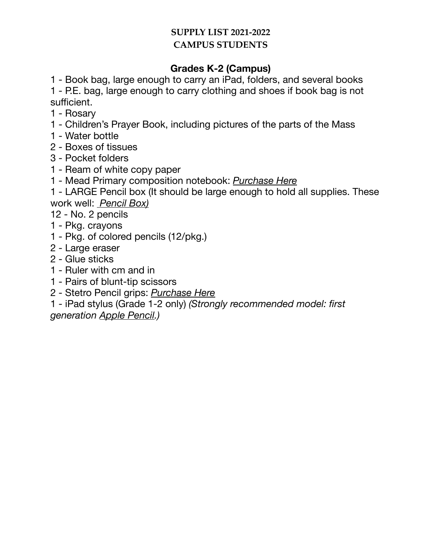## **SUPPLY LIST 2021-2022 CAMPUS STUDENTS**

# **Grades K-2 (Campus)**

1 - Book bag, large enough to carry an iPad, folders, and several books

1 - P.E. bag, large enough to carry clothing and shoes if book bag is not sufficient.

- 1 Rosary
- 1 Children's Prayer Book, including pictures of the parts of the Mass
- 1 Water bottle
- 2 Boxes of tissues
- 3 Pocket folders
- 1 Ream of white copy paper
- 1 Mead Primary composition notebook: *[Purchase Here](https://www.amazon.com/Mead-Composition-Notebooks-Primary-09902/dp/B001F38YWM)*

1 - LARGE Pencil box (It should be large enough to hold all supplies. These work well: *[Pencil Box\)](https://www.staples.com/Advantus-Super-Stacker-Document-Box-Clear-14-1-4-L-x-10-1-4-W-x-3-1-4-D/product_394449?cid=PS:GooglePLAs:394449&ci_src=17588969&ci_sku=394449&KPID=394449&gclid=CjwKCAjwm4rqBRBUEiwAwaWjjIF1C063lI0DxQfY7WRK-LBiGORtolWDN2hsCcPJCkj_WCuI7Q0ITRoCjGQQAvD_BwE)*

12 - No. 2 pencils

- 1 Pkg. crayons
- 1 Pkg. of colored pencils (12/pkg.)
- 2 Large eraser
- 2 Glue sticks
- 1 Ruler with cm and in
- 1 Pairs of blunt-tip scissors
- 2 Stetro Pencil grips: *[Purchase Here](https://www.amazon.com/Stetro-Pencil-Grips-Assorted-Colors/dp/B000KIEJKE/ref=sr_1_16?ie=UTF8&qid=1532720132&sr=8-16&keywords=Pencil+grip)*
- 1 iPad stylus (Grade 1-2 only) *(Strongly recommended model: first generation [Apple Pencil.](https://www.apple.com/shop/product/MK0C2AM/A/apple-pencil-1st-generation))*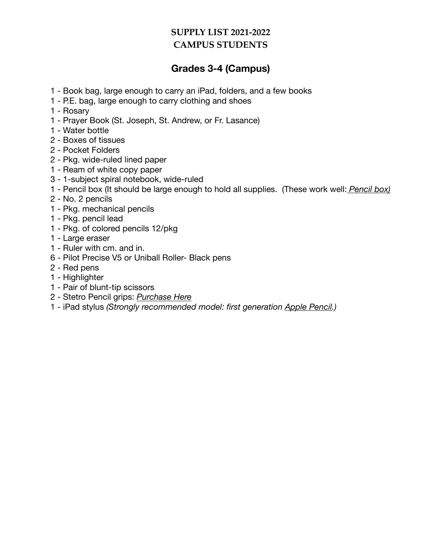#### **SUPPLY LIST 2021-2022 CAMPUS STUDENTS**

## **Grades 3-4 (Campus)**

- 1 Book bag, large enough to carry an iPad, folders, and a few books
- 1 P.E. bag, large enough to carry clothing and shoes
- 1 Rosary
- 1 Prayer Book (St. Joseph, St. Andrew, or Fr. Lasance)
- 1 Water bottle
- 2 Boxes of tissues
- 2 Pocket Folders
- 2 Pkg. wide-ruled lined paper
- 1 Ream of white copy paper
- 3 1-subject spiral notebook, wide-ruled
- 1 Pencil box (It should be large enough to hold all supplies. (These work well: *[Pencil box](https://www.staples.com/Advantus-Super-Stacker-Document-Box-Clear-14-1-4-L-x-10-1-4-W-x-3-1-4-D/product_394449?cid=PS:GooglePLAs:394449&ci_src=17588969&ci_sku=394449&KPID=394449&gclid=CjwKCAjwm4rqBRBUEiwAwaWjjIF1C063lI0DxQfY7WRK-LBiGORtolWDN2hsCcPJCkj_WCuI7Q0ITRoCjGQQAvD_BwE))*
- 2 No. 2 pencils
- 1 Pkg. mechanical pencils
- 1 Pkg. pencil lead
- 1 Pkg. of colored pencils 12/pkg
- 1 Large eraser
- 1 Ruler with cm. and in.
- 6 Pilot Precise V5 or Uniball Roller- Black pens
- 2 Red pens
- 1 Highlighter
- 1 Pair of blunt-tip scissors
- 2 Stetro Pencil grips: *[Purchase Here](https://www.amazon.com/Stetro-Pencil-Grips-Assorted-Colors/dp/B000KIEJKE/ref=sr_1_16?ie=UTF8&qid=1532720132&sr=8-16&keywords=Pencil+grip)*
- 1 iPad stylus *(Strongly recommended model: first generation [Apple Pencil](https://www.apple.com/shop/product/MK0C2AM/A/apple-pencil-1st-generation).)*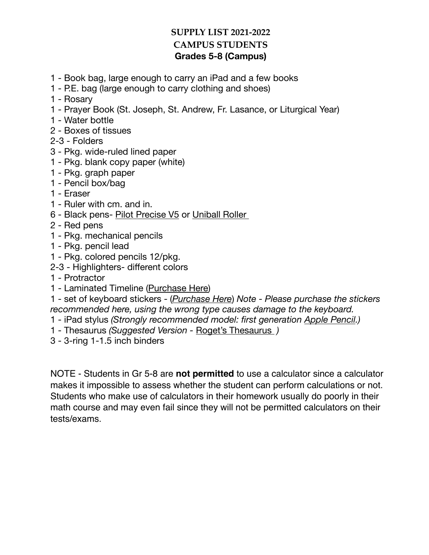#### **SUPPLY LIST 2021-2022 CAMPUS STUDENTS Grades 5-8 (Campus)**

- 1 Book bag, large enough to carry an iPad and a few books
- 1 P.E. bag (large enough to carry clothing and shoes)
- 1 Rosary
- 1 Prayer Book (St. Joseph, St. Andrew, Fr. Lasance, or Liturgical Year)
- 1 Water bottle
- 2 Boxes of tissues
- 2-3 Folders
- 3 Pkg. wide-ruled lined paper
- 1 Pkg. blank copy paper (white)
- 1 Pkg. graph paper
- 1 Pencil box/bag
- 1 Eraser
- 1 Ruler with cm. and in.
- 6 Black pens- [Pilot Precise V5](https://www.amazon.com/Pilot-26002-Precision-Technology-Skip-Free/dp/B001GP88F2/ref=asc_df_B001GP88F2/?tag=hyprod-20&linkCode=df0&hvadid=167152767982&hvpos=&hvnetw=g&hvrand=7007014989693189435&hvpone=&hvptwo=&hvqmt=&hvdev=c&hvdvcmdl=&hvlocint=&hvlocphy=9012359&hvtargid=pla-312943100315&psc=1) or [Uniball Roller](https://www.amazon.com/uni-ball-Vision-Rollerball-Point-0-7mm/dp/B00006IE8J/ref=sr_1_4?dchild=1&keywords=uniball+black+pen&qid=1626826558&s=office-products&sr=1-4)
- 2 Red pens
- 1 Pkg. mechanical pencils
- 1 Pkg. pencil lead
- 1 Pkg. colored pencils 12/pkg.
- 2-3 Highlighters- different colors
- 1 Protractor
- 1 Laminated Timeline ([Purchase Here](https://www.rainbowresource.com/product/001581/Timeline---Laminated.html?))
- 1 set of keyboard stickers (*[Purchase Here](https://www.amazon.com/Blank-keyboard-stickers-transparent-background/dp/B002VHYAFG/ref=sr_1_2?dchild=1&keywords=blank+keyboard+stickers&qid=1627320294&s=office-products&sr=1-2)*) *Note Please purchase the stickers recommended here, using the wrong type causes damage to the keyboard.*
- 1 iPad stylus *(Strongly recommended model: first generation [Apple Pencil.](https://www.apple.com/shop/product/MK0C2AM/A/apple-pencil-1st-generation))*
- 1 Thesaurus *(Suggested Version* [Roget's Thesaurus](https://www.amazon.com/Rogets-International-Thesaurus-indexed-Indexed/dp/0062843729/ref=sr_1_3?dchild=1&keywords=rogets+international+thesaurus&qid=1626741268&s=books&sr=1-3) *)*
- 3 3-ring 1-1.5 inch binders

NOTE - Students in Gr 5-8 are **not permitted** to use a calculator since a calculator makes it impossible to assess whether the student can perform calculations or not. Students who make use of calculators in their homework usually do poorly in their math course and may even fail since they will not be permitted calculators on their tests/exams.